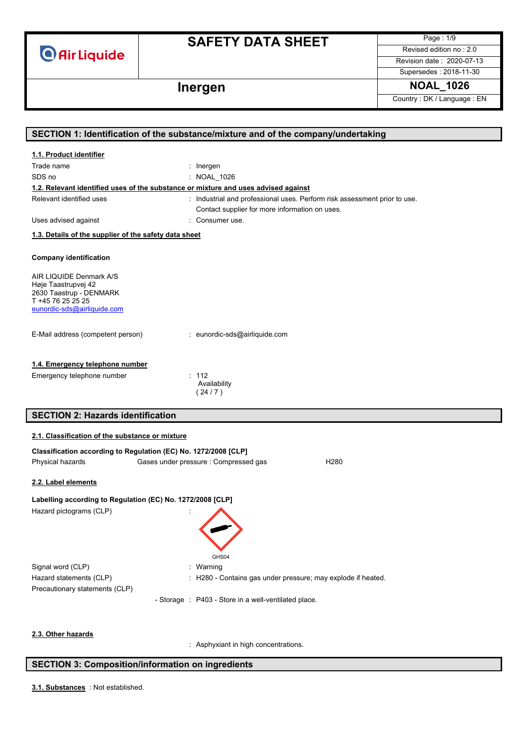**O** Air Liquide

## **SAFETY DATA SHEET**

Page : 1/9 Revised edition no : 2.0

Revision date : 2020-07-13 Supersedes : 2018-11-30

**Inergen NOAL\_1026**

Country : DK / Language : EN

|                                                                                                                               | SECTION 1: Identification of the substance/mixture and of the company/undertaking  |
|-------------------------------------------------------------------------------------------------------------------------------|------------------------------------------------------------------------------------|
| 1.1. Product identifier                                                                                                       |                                                                                    |
| Trade name                                                                                                                    | $:$ Inergen                                                                        |
| SDS no                                                                                                                        | : NOAL_1026                                                                        |
|                                                                                                                               | 1.2. Relevant identified uses of the substance or mixture and uses advised against |
| Relevant identified uses                                                                                                      | : Industrial and professional uses. Perform risk assessment prior to use.          |
|                                                                                                                               | Contact supplier for more information on uses.                                     |
| Uses advised against                                                                                                          | : Consumer use.                                                                    |
| 1.3. Details of the supplier of the safety data sheet                                                                         |                                                                                    |
| <b>Company identification</b>                                                                                                 |                                                                                    |
| AIR LIQUIDE Denmark A/S<br>Høje Taastrupvej 42<br>2630 Taastrup - DENMARK<br>T +45 76 25 25 25<br>eunordic-sds@airliquide.com |                                                                                    |
| E-Mail address (competent person)                                                                                             | : eunordic-sds@airliquide.com                                                      |
| 1.4. Emergency telephone number                                                                                               |                                                                                    |
| Emergency telephone number                                                                                                    | : 112                                                                              |
|                                                                                                                               | Availability<br>(24/7)                                                             |
|                                                                                                                               |                                                                                    |
| <b>SECTION 2: Hazards identification</b>                                                                                      |                                                                                    |
|                                                                                                                               |                                                                                    |
| 2.1. Classification of the substance or mixture                                                                               |                                                                                    |
|                                                                                                                               | Classification according to Regulation (EC) No. 1272/2008 [CLP]                    |
| Physical hazards                                                                                                              | Gases under pressure : Compressed gas<br>H <sub>280</sub>                          |
| 2.2. Label elements                                                                                                           |                                                                                    |
|                                                                                                                               | Labelling according to Regulation (EC) No. 1272/2008 [CLP]                         |
| Hazard pictograms (CLP)                                                                                                       |                                                                                    |
|                                                                                                                               | GHS04                                                                              |
| Signal word (CLP)                                                                                                             | Warning                                                                            |
| Hazard statements (CLP)                                                                                                       | H280 - Contains gas under pressure; may explode if heated.                         |
| Precautionary statements (CLP)                                                                                                |                                                                                    |
|                                                                                                                               | - Storage : P403 - Store in a well-ventilated place.                               |
| 2.3. Other hazards                                                                                                            |                                                                                    |
|                                                                                                                               | : Asphyxiant in high concentrations.                                               |

### **SECTION 3: Composition/information on ingredients**

: Not established. **3.1. Substances**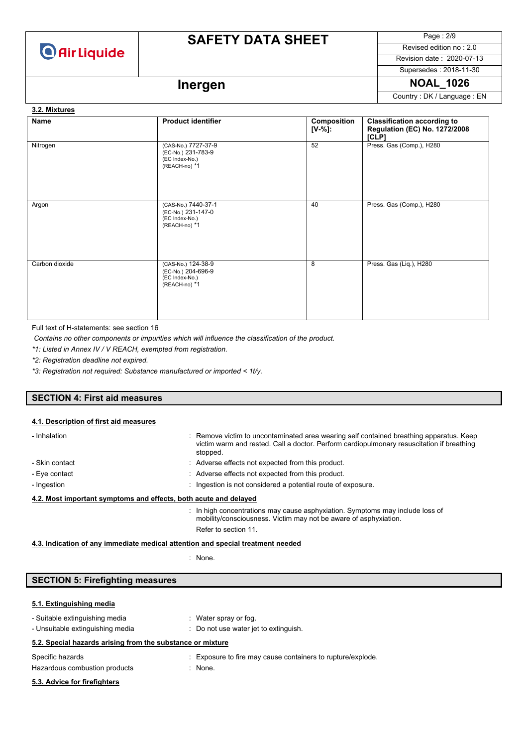

Page : 2/9 Revised edition no : 2.0

Revision date : 2020-07-13

## Supersedes : 2018-11-30

## **Inergen 1026** NOAL\_1026

Country : DK / Language : EN

#### **Name Product identifier Composition [V-%]: Classification according to Regulation (EC) No. 1272/2008 [CLP]** Nitrogen (CAS-No.) 7727-37-9 (EC-No.) 231-783-9 (EC Index-No.) (REACH-no) \*1 52 Press. Gas (Comp.), H280 Argon (CAS-No.) 7440-37-1 (EC-No.) 231-147-0 (EC Index-No.) (REACH-no) \*1 40 Press. Gas (Comp.), H280 Carbon dioxide (CAS-No.) 124-38-9 (EC-No.) 204-696-9 (EC Index-No.) (REACH-no) \*1 8 Press. Gas (Liq.), H280 **3.2. Mixtures**

Full text of H-statements: see section 16

*Contains no other components or impurities which will influence the classification of the product.*

*\*1: Listed in Annex IV / V REACH, exempted from registration.*

*\*2: Registration deadline not expired.*

*\*3: Registration not required: Substance manufactured or imported < 1t/y.*

#### **SECTION 4: First aid measures**

#### **4.1. Description of first aid measures**

| - Inhalation                                                     | : Remove victim to uncontaminated area wearing self contained breathing apparatus. Keep<br>victim warm and rested. Call a doctor. Perform cardiopulmonary resuscitation if breathing<br>stopped. |
|------------------------------------------------------------------|--------------------------------------------------------------------------------------------------------------------------------------------------------------------------------------------------|
| - Skin contact                                                   | : Adverse effects not expected from this product.                                                                                                                                                |
| - Eye contact                                                    | : Adverse effects not expected from this product.                                                                                                                                                |
| - Ingestion                                                      | : Ingestion is not considered a potential route of exposure.                                                                                                                                     |
| 4.2. Most important symptoms and effects, both acute and delayed |                                                                                                                                                                                                  |
|                                                                  | : In high concentrations may cause asphyxiation. Symptoms may include loss of<br>mobility/consciousness. Victim may not be aware of asphyxiation.<br>Refer to section 11.                        |

**4.3. Indication of any immediate medical attention and special treatment needed**

: None.

#### **SECTION 5: Firefighting measures**

#### **5.1. Extinguishing media**

| - Suitable extinguishing media<br>- Unsuitable extinguishing media |  | : Water spray or fog.<br>: Do not use water jet to extinguish.           |
|--------------------------------------------------------------------|--|--------------------------------------------------------------------------|
| 5.2. Special hazards arising from the substance or mixture         |  |                                                                          |
| Specific hazards<br>Hazardous combustion products                  |  | : Exposure to fire may cause containers to rupture/explode.<br>$:$ None. |
| 5.3. Advice for firefighters                                       |  |                                                                          |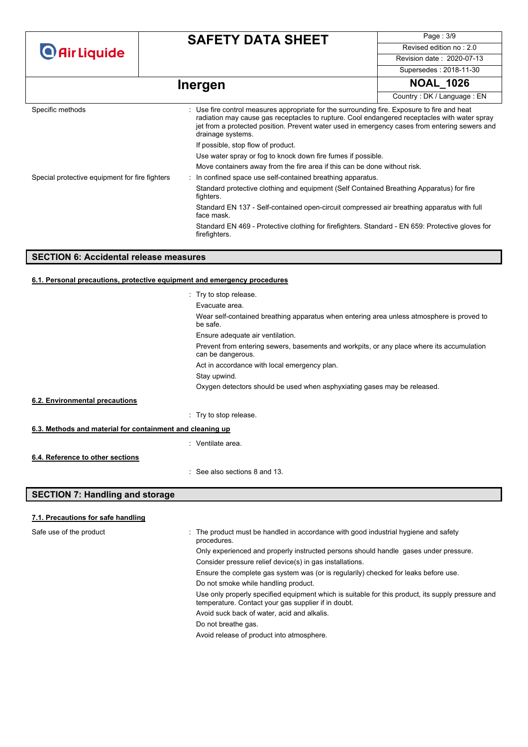|  | <b>O</b> Air Liquide |  |
|--|----------------------|--|

Page : 3/9 Revised edition no : 2.0 Revision date : 2020-07-13 Supersedes : 2018-11-30

# **Inergen NOAL\_1026**

|                                                | ັ                                                                                                                                                                                                                                                                                                                 |                            |  |  |
|------------------------------------------------|-------------------------------------------------------------------------------------------------------------------------------------------------------------------------------------------------------------------------------------------------------------------------------------------------------------------|----------------------------|--|--|
|                                                |                                                                                                                                                                                                                                                                                                                   | Country: DK / Language: EN |  |  |
| Specific methods                               | : Use fire control measures appropriate for the surrounding fire. Exposure to fire and heat<br>radiation may cause gas receptacles to rupture. Cool endangered receptacles with water spray<br>jet from a protected position. Prevent water used in emergency cases from entering sewers and<br>drainage systems. |                            |  |  |
|                                                | If possible, stop flow of product.                                                                                                                                                                                                                                                                                |                            |  |  |
|                                                | Use water spray or fog to knock down fire fumes if possible.                                                                                                                                                                                                                                                      |                            |  |  |
|                                                | Move containers away from the fire area if this can be done without risk.                                                                                                                                                                                                                                         |                            |  |  |
| Special protective equipment for fire fighters | : In confined space use self-contained breathing apparatus.                                                                                                                                                                                                                                                       |                            |  |  |
|                                                | Standard protective clothing and equipment (Self Contained Breathing Apparatus) for fire<br>fighters.                                                                                                                                                                                                             |                            |  |  |
|                                                | Standard EN 137 - Self-contained open-circuit compressed air breathing apparatus with full<br>face mask.                                                                                                                                                                                                          |                            |  |  |
|                                                | Standard EN 469 - Protective clothing for firefighters. Standard - EN 659: Protective gloves for<br>firefighters.                                                                                                                                                                                                 |                            |  |  |

#### **SECTION 6: Accidental release measures**

#### **6.1. Personal precautions, protective equipment and emergency procedures**

|                                                           | : Try to stop release.                                                                                         |
|-----------------------------------------------------------|----------------------------------------------------------------------------------------------------------------|
|                                                           | Evacuate area.                                                                                                 |
|                                                           | Wear self-contained breathing apparatus when entering area unless atmosphere is proved to<br>be safe.          |
|                                                           | Ensure adequate air ventilation.                                                                               |
|                                                           | Prevent from entering sewers, basements and workpits, or any place where its accumulation<br>can be dangerous. |
|                                                           | Act in accordance with local emergency plan.                                                                   |
|                                                           | Stay upwind.                                                                                                   |
|                                                           | Oxygen detectors should be used when asphyxiating gases may be released.                                       |
| 6.2. Environmental precautions                            |                                                                                                                |
|                                                           | : Try to stop release.                                                                                         |
| 6.3. Methods and material for containment and cleaning up |                                                                                                                |
|                                                           | : Ventilate area.                                                                                              |
| 6.4. Reference to other sections                          |                                                                                                                |
|                                                           | $\therefore$ See also sections 8 and 13.                                                                       |
| <b>SECTION 7: Handling and storage</b>                    |                                                                                                                |

### **7.1. Precautions for safe handling**

| Safe use of the product<br>٠ | The product must be handled in accordance with good industrial hygiene and safety<br>procedures.                                                         |
|------------------------------|----------------------------------------------------------------------------------------------------------------------------------------------------------|
|                              | Only experienced and properly instructed persons should handle gases under pressure.                                                                     |
|                              | Consider pressure relief device(s) in gas installations.                                                                                                 |
|                              | Ensure the complete gas system was (or is regularily) checked for leaks before use.                                                                      |
|                              | Do not smoke while handling product.                                                                                                                     |
|                              | Use only properly specified equipment which is suitable for this product, its supply pressure and<br>temperature. Contact your gas supplier if in doubt. |
|                              | Avoid suck back of water, acid and alkalis.                                                                                                              |
|                              | Do not breathe gas.                                                                                                                                      |
|                              | Avoid release of product into atmosphere.                                                                                                                |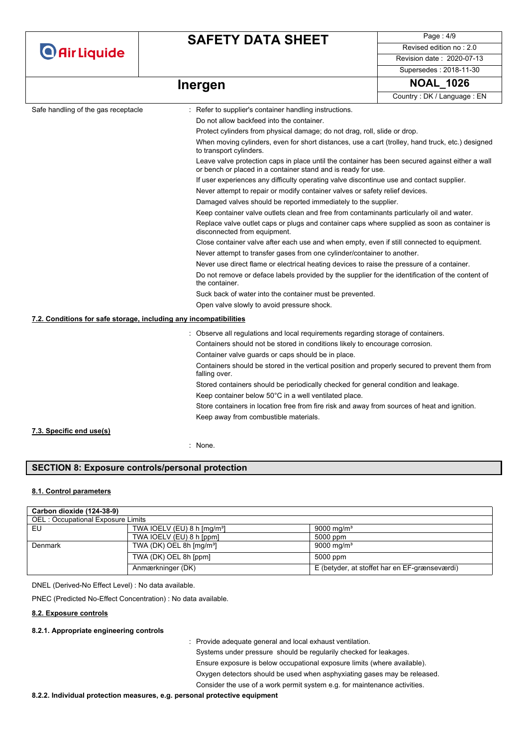Page : 4/9 Revised edition no : 2.0 Revision date : 2020-07-13

Supersedes : 2018-11-30

## **Inergen 1026** NOAL\_1026

| Country: DK / Language: EN |
|----------------------------|
|                            |

|                                                                                              |                                                                                                                                                                  | <b>COUTILY</b> DIVILLAINUAUC LIV |  |  |  |
|----------------------------------------------------------------------------------------------|------------------------------------------------------------------------------------------------------------------------------------------------------------------|----------------------------------|--|--|--|
| Safe handling of the gas receptacle                                                          | Refer to supplier's container handling instructions.                                                                                                             |                                  |  |  |  |
|                                                                                              | Do not allow backfeed into the container.                                                                                                                        |                                  |  |  |  |
|                                                                                              | Protect cylinders from physical damage; do not drag, roll, slide or drop.                                                                                        |                                  |  |  |  |
|                                                                                              | When moving cylinders, even for short distances, use a cart (trolley, hand truck, etc.) designed<br>to transport cylinders.                                      |                                  |  |  |  |
|                                                                                              | Leave valve protection caps in place until the container has been secured against either a wall<br>or bench or placed in a container stand and is ready for use. |                                  |  |  |  |
|                                                                                              | If user experiences any difficulty operating valve discontinue use and contact supplier.                                                                         |                                  |  |  |  |
|                                                                                              | Never attempt to repair or modify container valves or safety relief devices.                                                                                     |                                  |  |  |  |
|                                                                                              | Damaged valves should be reported immediately to the supplier.                                                                                                   |                                  |  |  |  |
|                                                                                              | Keep container valve outlets clean and free from contaminants particularly oil and water.                                                                        |                                  |  |  |  |
|                                                                                              | Replace valve outlet caps or plugs and container caps where supplied as soon as container is<br>disconnected from equipment.                                     |                                  |  |  |  |
|                                                                                              | Close container valve after each use and when empty, even if still connected to equipment.                                                                       |                                  |  |  |  |
|                                                                                              | Never attempt to transfer gases from one cylinder/container to another.                                                                                          |                                  |  |  |  |
|                                                                                              | Never use direct flame or electrical heating devices to raise the pressure of a container.                                                                       |                                  |  |  |  |
|                                                                                              | Do not remove or deface labels provided by the supplier for the identification of the content of<br>the container.                                               |                                  |  |  |  |
|                                                                                              | Suck back of water into the container must be prevented.                                                                                                         |                                  |  |  |  |
|                                                                                              | Open valve slowly to avoid pressure shock.                                                                                                                       |                                  |  |  |  |
| 7.2. Conditions for safe storage, including any incompatibilities                            |                                                                                                                                                                  |                                  |  |  |  |
|                                                                                              | : Observe all regulations and local requirements regarding storage of containers.                                                                                |                                  |  |  |  |
|                                                                                              | Containers should not be stored in conditions likely to encourage corrosion.                                                                                     |                                  |  |  |  |
|                                                                                              | Container valve guards or caps should be in place.                                                                                                               |                                  |  |  |  |
|                                                                                              | Containers should be stored in the vertical position and properly secured to prevent them from<br>falling over.                                                  |                                  |  |  |  |
|                                                                                              | Stored containers should be periodically checked for general condition and leakage.                                                                              |                                  |  |  |  |
|                                                                                              | Keep container below 50°C in a well ventilated place.                                                                                                            |                                  |  |  |  |
| Store containers in location free from fire risk and away from sources of heat and ignition. |                                                                                                                                                                  |                                  |  |  |  |
|                                                                                              | Keep away from combustible materials.                                                                                                                            |                                  |  |  |  |
| 7.3. Specific end use(s)                                                                     |                                                                                                                                                                  |                                  |  |  |  |
|                                                                                              |                                                                                                                                                                  |                                  |  |  |  |
|                                                                                              | : None.                                                                                                                                                          |                                  |  |  |  |

#### **SECTION 8: Exposure controls/personal protection**

#### **8.1. Control parameters**

| Carbon dioxide (124-38-9)         |                                          |                                               |
|-----------------------------------|------------------------------------------|-----------------------------------------------|
| OEL: Occupational Exposure Limits |                                          |                                               |
| EU                                | TWA IOELV (EU) 8 h $\text{[mq/m³]}$      | $9000 \; \mathrm{ma/m^3}$                     |
|                                   | TWA IOELV (EU) 8 h [ppm]                 | 5000 ppm                                      |
| Denmark                           | TWA (DK) OEL 8h $\text{[mq/m}^3\text{]}$ | 9000 mg/m <sup>3</sup>                        |
|                                   | TWA (DK) OEL 8h [ppm]                    | 5000 ppm                                      |
|                                   | Anmærkninger (DK)                        | E (betyder, at stoffet har en EF-grænseværdi) |

DNEL (Derived-No Effect Level) : No data available.

PNEC (Predicted No-Effect Concentration) : No data available.

#### **8.2. Exposure controls**

#### **8.2.1. Appropriate engineering controls**

: Provide adequate general and local exhaust ventilation.

Systems under pressure should be regularily checked for leakages. Ensure exposure is below occupational exposure limits (where available). Oxygen detectors should be used when asphyxiating gases may be released.

Consider the use of a work permit system e.g. for maintenance activities.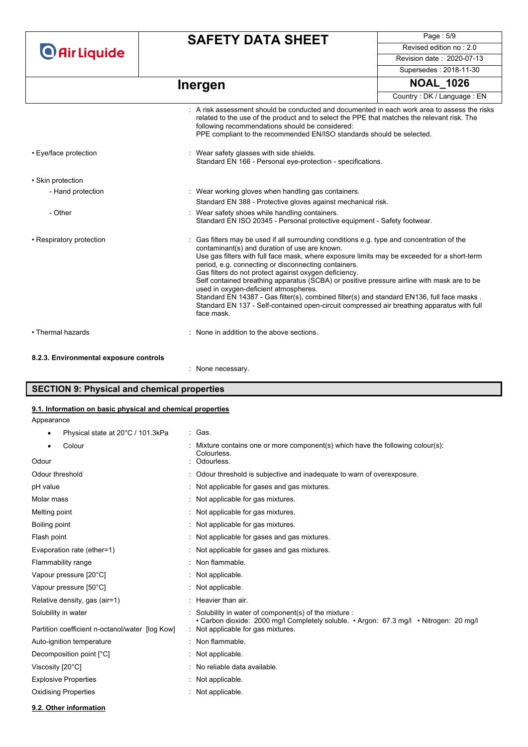**O** Air Liquide

## **SAFETY DATA SHEET**

Page : 5/9 Revised edition no : 2.0 Revision date : 2020-07-13

Supersedes : 2018-11-30

## **Inergen NOAL\_1026**

|                                        |                                                                                                                                                                                                                                                                                                                                                                                                                                                                                                                                                                                                                                                                                                            | Country: DK / Language: EN |
|----------------------------------------|------------------------------------------------------------------------------------------------------------------------------------------------------------------------------------------------------------------------------------------------------------------------------------------------------------------------------------------------------------------------------------------------------------------------------------------------------------------------------------------------------------------------------------------------------------------------------------------------------------------------------------------------------------------------------------------------------------|----------------------------|
|                                        | : A risk assessment should be conducted and documented in each work area to assess the risks<br>related to the use of the product and to select the PPE that matches the relevant risk. The<br>following recommendations should be considered:<br>PPE compliant to the recommended EN/ISO standards should be selected.                                                                                                                                                                                                                                                                                                                                                                                    |                            |
| • Eye/face protection                  | : Wear safety glasses with side shields.<br>Standard EN 166 - Personal eye-protection - specifications.                                                                                                                                                                                                                                                                                                                                                                                                                                                                                                                                                                                                    |                            |
| • Skin protection                      |                                                                                                                                                                                                                                                                                                                                                                                                                                                                                                                                                                                                                                                                                                            |                            |
| - Hand protection                      | : Wear working gloves when handling gas containers.                                                                                                                                                                                                                                                                                                                                                                                                                                                                                                                                                                                                                                                        |                            |
|                                        | Standard EN 388 - Protective gloves against mechanical risk.                                                                                                                                                                                                                                                                                                                                                                                                                                                                                                                                                                                                                                               |                            |
| - Other                                | : Wear safety shoes while handling containers.<br>Standard EN ISO 20345 - Personal protective equipment - Safety footwear.                                                                                                                                                                                                                                                                                                                                                                                                                                                                                                                                                                                 |                            |
| • Respiratory protection               | Gas filters may be used if all surrounding conditions e.g. type and concentration of the<br>contaminant(s) and duration of use are known.<br>Use gas filters with full face mask, where exposure limits may be exceeded for a short-term<br>period, e.g. connecting or disconnecting containers.<br>Gas filters do not protect against oxygen deficiency.<br>Self contained breathing apparatus (SCBA) or positive pressure airline with mask are to be<br>used in oxygen-deficient atmospheres.<br>Standard EN 14387 - Gas filter(s), combined filter(s) and standard EN136, full face masks.<br>Standard EN 137 - Self-contained open-circuit compressed air breathing apparatus with full<br>face mask. |                            |
| • Thermal hazards                      | : None in addition to the above sections.                                                                                                                                                                                                                                                                                                                                                                                                                                                                                                                                                                                                                                                                  |                            |
| 8.2.3. Environmental exposure controls |                                                                                                                                                                                                                                                                                                                                                                                                                                                                                                                                                                                                                                                                                                            |                            |
|                                        | : None necessary.                                                                                                                                                                                                                                                                                                                                                                                                                                                                                                                                                                                                                                                                                          |                            |

#### **SECTION 9: Physical and chemical properties**

#### **9.1. Information on basic physical and chemical properties**

Appearance

• Physical state at  $20^{\circ}$ C / 101.3kPa : Gas.

| Colour                                          | Mixture contains one or more component(s) which have the following colour(s):<br>Colourless.                                                   |
|-------------------------------------------------|------------------------------------------------------------------------------------------------------------------------------------------------|
| Odour                                           | Odourless.                                                                                                                                     |
| Odour threshold                                 | Odour threshold is subjective and inadequate to warn of overexposure.                                                                          |
| pH value                                        | : Not applicable for gases and gas mixtures.                                                                                                   |
| Molar mass                                      | : Not applicable for gas mixtures.                                                                                                             |
| Melting point                                   | : Not applicable for gas mixtures.                                                                                                             |
| Boiling point                                   | : Not applicable for gas mixtures.                                                                                                             |
| Flash point                                     | : Not applicable for gases and gas mixtures.                                                                                                   |
| Evaporation rate (ether=1)                      | : Not applicable for gases and gas mixtures.                                                                                                   |
| Flammability range                              | : Non flammable.                                                                                                                               |
| Vapour pressure [20°C]                          | : Not applicable.                                                                                                                              |
| Vapour pressure [50°C]                          | : Not applicable.                                                                                                                              |
| Relative density, gas (air=1)                   | $:$ Heavier than air.                                                                                                                          |
| Solubility in water                             | Solubility in water of component(s) of the mixture :<br>• Carbon dioxide: 2000 mg/l Completely soluble. • Argon: 67.3 mg/l • Nitrogen: 20 mg/l |
| Partition coefficient n-octanol/water [log Kow] | : Not applicable for gas mixtures.                                                                                                             |
| Auto-ignition temperature                       | : Non flammable.                                                                                                                               |
| Decomposition point [°C]                        | $\therefore$ Not applicable.                                                                                                                   |
| Viscosity [20°C]                                | : No reliable data available.                                                                                                                  |
| <b>Explosive Properties</b>                     | Not applicable.                                                                                                                                |
| <b>Oxidising Properties</b>                     | : Not applicable.                                                                                                                              |

**9.2. Other information**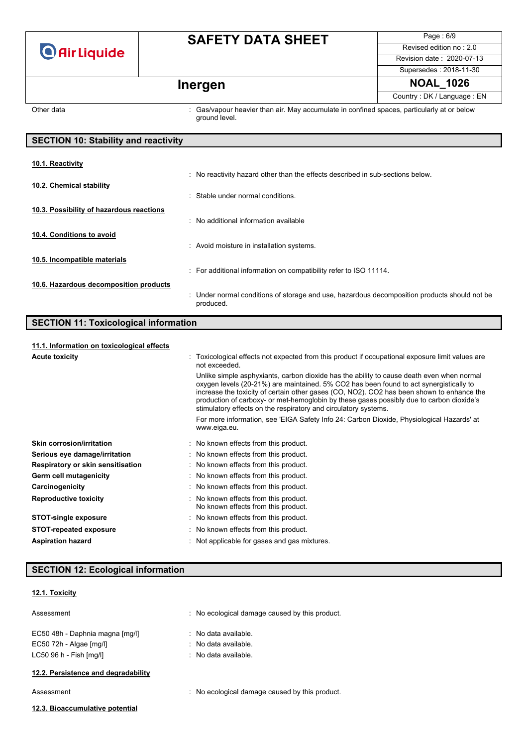

Page : 6/9 Revised edition no : 2.0 Revision date : 2020-07-13 Supersedes : 2018-11-30 **Inergen 1026** NOAL\_1026

Country : DK / Language : EN

Other data **interpretatal intervals of the Cas**/vapour heavier than air. May accumulate in confined spaces, particularly at or below ground level.

| <b>SECTION 10: Stability and reactivity</b> |                                                                                                           |  |
|---------------------------------------------|-----------------------------------------------------------------------------------------------------------|--|
|                                             |                                                                                                           |  |
| 10.1. Reactivity                            |                                                                                                           |  |
|                                             | : No reactivity hazard other than the effects described in sub-sections below.                            |  |
| 10.2. Chemical stability                    |                                                                                                           |  |
|                                             | Stable under normal conditions.<br>٠                                                                      |  |
| 10.3. Possibility of hazardous reactions    |                                                                                                           |  |
|                                             | : No additional information available                                                                     |  |
| 10.4. Conditions to avoid                   |                                                                                                           |  |
|                                             | : Avoid moisture in installation systems.                                                                 |  |
|                                             |                                                                                                           |  |
| 10.5. Incompatible materials                |                                                                                                           |  |
|                                             | : For additional information on compatibility refer to ISO 11114.                                         |  |
| 10.6. Hazardous decomposition products      |                                                                                                           |  |
|                                             | : Under normal conditions of storage and use, hazardous decomposition products should not be<br>produced. |  |

#### **SECTION 11: Toxicological information**

#### **11.1. Information on toxicological effects**

| 11.1. Information on toxicological effects |                                                                                                                                                                                                                                                                                                                                                                                                                                                 |  |
|--------------------------------------------|-------------------------------------------------------------------------------------------------------------------------------------------------------------------------------------------------------------------------------------------------------------------------------------------------------------------------------------------------------------------------------------------------------------------------------------------------|--|
| <b>Acute toxicity</b>                      | Toxicological effects not expected from this product if occupational exposure limit values are<br>not exceeded.                                                                                                                                                                                                                                                                                                                                 |  |
|                                            | Unlike simple asphyxiants, carbon dioxide has the ability to cause death even when normal<br>oxygen levels (20-21%) are maintained. 5% CO2 has been found to act synergistically to<br>increase the toxicity of certain other gases (CO, NO2). CO2 has been shown to enhance the<br>production of carboxy- or met-hemoglobin by these gases possibly due to carbon dioxide's<br>stimulatory effects on the respiratory and circulatory systems. |  |
|                                            | For more information, see 'EIGA Safety Info 24: Carbon Dioxide, Physiological Hazards' at<br>www.eiga.eu.                                                                                                                                                                                                                                                                                                                                       |  |
| <b>Skin corrosion/irritation</b>           | : No known effects from this product.                                                                                                                                                                                                                                                                                                                                                                                                           |  |
| Serious eye damage/irritation              | : No known effects from this product.                                                                                                                                                                                                                                                                                                                                                                                                           |  |
| Respiratory or skin sensitisation          | : No known effects from this product.                                                                                                                                                                                                                                                                                                                                                                                                           |  |
| Germ cell mutagenicity                     | : No known effects from this product.                                                                                                                                                                                                                                                                                                                                                                                                           |  |
| Carcinogenicity                            | : No known effects from this product.                                                                                                                                                                                                                                                                                                                                                                                                           |  |
| <b>Reproductive toxicity</b>               | : No known effects from this product.<br>No known effects from this product.                                                                                                                                                                                                                                                                                                                                                                    |  |
| <b>STOT-single exposure</b>                | : No known effects from this product.                                                                                                                                                                                                                                                                                                                                                                                                           |  |
| <b>STOT-repeated exposure</b>              | : No known effects from this product.                                                                                                                                                                                                                                                                                                                                                                                                           |  |
| <b>Aspiration hazard</b>                   | : Not applicable for gases and gas mixtures.                                                                                                                                                                                                                                                                                                                                                                                                    |  |

#### **SECTION 12: Ecological information**

#### **12.1. Toxicity**

| Assessment                      | : No ecological damage caused by this product. |
|---------------------------------|------------------------------------------------|
| EC50 48h - Daphnia magna [mg/l] | $\therefore$ No data available.                |
| EC50 72h - Algae [mg/l]         | $\therefore$ No data available.                |
| LC50 96 h - Fish [mq/l]         | $\therefore$ No data available.                |
|                                 |                                                |

#### **12.2. Persistence and degradability**

Assessment : No ecological damage caused by this product.

#### **12.3. Bioaccumulative potential**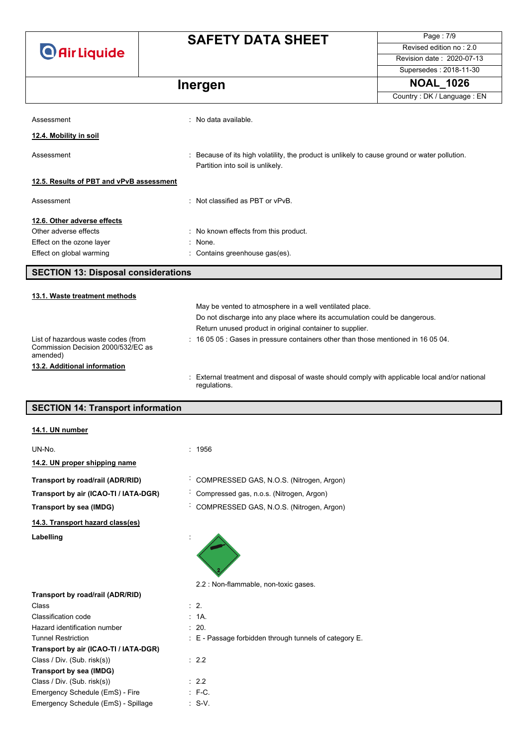**O** Air Liquide

## **SAFETY DATA SHEET**

Page : 7/9 Revised edition no : 2.0 Revision date : 2020-07-13 Supersedes : 2018-11-30

## **Inergen NOAL\_1026**

|                                                                                       |                                                                                              | Country: DK / Language: EN                                                                  |  |  |
|---------------------------------------------------------------------------------------|----------------------------------------------------------------------------------------------|---------------------------------------------------------------------------------------------|--|--|
| Assessment                                                                            | : No data available.                                                                         |                                                                                             |  |  |
|                                                                                       |                                                                                              |                                                                                             |  |  |
| 12.4. Mobility in soil                                                                |                                                                                              |                                                                                             |  |  |
| Assessment                                                                            | Partition into soil is unlikely.                                                             | Because of its high volatility, the product is unlikely to cause ground or water pollution. |  |  |
| 12.5. Results of PBT and vPvB assessment                                              |                                                                                              |                                                                                             |  |  |
| Assessment                                                                            | . Not classified as PBT or vPvB                                                              |                                                                                             |  |  |
| 12.6. Other adverse effects                                                           |                                                                                              |                                                                                             |  |  |
| Other adverse effects                                                                 | : No known effects from this product.                                                        |                                                                                             |  |  |
| Effect on the ozone layer                                                             | : None.                                                                                      |                                                                                             |  |  |
| Effect on global warming                                                              | : Contains greenhouse gas(es).                                                               |                                                                                             |  |  |
| <b>SECTION 13: Disposal considerations</b>                                            |                                                                                              |                                                                                             |  |  |
| 13.1. Waste treatment methods                                                         |                                                                                              |                                                                                             |  |  |
|                                                                                       | May be vented to atmosphere in a well ventilated place.                                      |                                                                                             |  |  |
|                                                                                       | Do not discharge into any place where its accumulation could be dangerous.                   |                                                                                             |  |  |
|                                                                                       | Return unused product in original container to supplier.                                     |                                                                                             |  |  |
| List of hazardous waste codes (from<br>Commission Decision 2000/532/EC as<br>amended) | $\div$ 16 05 05 $\div$ Gases in pressure containers other than those mentioned in 16 05 04.  |                                                                                             |  |  |
| 13.2. Additional information                                                          |                                                                                              |                                                                                             |  |  |
|                                                                                       | External treatment and dianosal of weate abould comply with applicable legal and/er national |                                                                                             |  |  |

: External treatment and disposal of waste should comply with applicable local and/or national regulations.

#### **SECTION 14: Transport information**

| 14.1. UN number                       |                                                            |
|---------------------------------------|------------------------------------------------------------|
| UN-No.                                | : 1956                                                     |
| 14.2. UN proper shipping name         |                                                            |
| Transport by road/rail (ADR/RID)      | COMPRESSED GAS, N.O.S. (Nitrogen, Argon)                   |
| Transport by air (ICAO-TI / IATA-DGR) | Compressed gas, n.o.s. (Nitrogen, Argon)                   |
| Transport by sea (IMDG)               | COMPRESSED GAS, N.O.S. (Nitrogen, Argon)<br>$\blacksquare$ |
| 14.3. Transport hazard class(es)      |                                                            |
| Labelling                             |                                                            |
|                                       | 2.2 : Non-flammable, non-toxic gases.                      |
| Transport by road/rail (ADR/RID)      |                                                            |
| Class                                 | $\therefore$ 2.                                            |
| Classification code                   | : 1A.                                                      |
| Hazard identification number          | $\therefore$ 20.                                           |
| <b>Tunnel Restriction</b>             | E - Passage forbidden through tunnels of category E.       |
| Transport by air (ICAO-TI / IATA-DGR) |                                                            |

| Transport by air (ICAO-II / IATA-DGR) |                   |
|---------------------------------------|-------------------|
| Class / Div. (Sub. risk(s))           | : 2.2             |
| Transport by sea (IMDG)               |                   |
| Class / Div. (Sub. risk(s))           | : 2.2             |
| Emergency Schedule (EmS) - Fire       | $:$ F-C.          |
| Emergency Schedule (EmS) - Spillage   | $\therefore$ S-V. |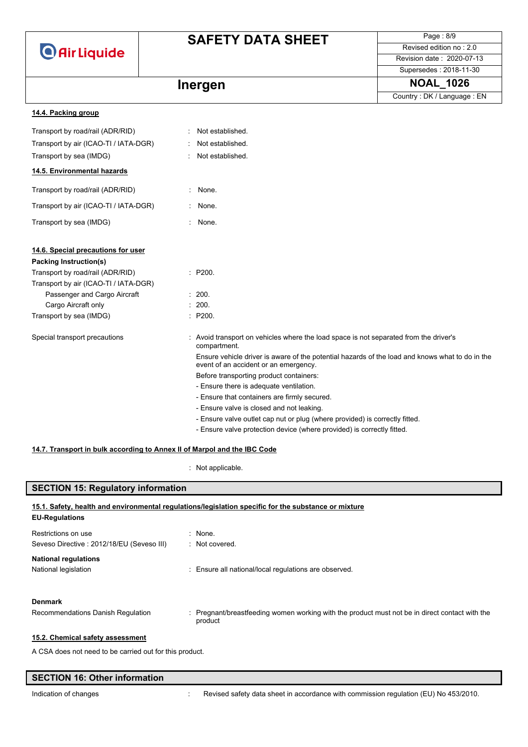

Page : 8/9 Revised edition no : 2.0 Revision date : 2020-07-13

#### Supersedes : 2018-11-30

Country : DK / Language : EN

## **Inergen 1026** NOAL\_1026

| 14.4. Packing group                   |          |                                                                                                                                          |
|---------------------------------------|----------|------------------------------------------------------------------------------------------------------------------------------------------|
| Transport by road/rail (ADR/RID)      | ÷.       | Not established.                                                                                                                         |
| Transport by air (ICAO-TI / IATA-DGR) |          | Not established.                                                                                                                         |
| Transport by sea (IMDG)               |          | Not established.                                                                                                                         |
| 14.5. Environmental hazards           |          |                                                                                                                                          |
| Transport by road/rail (ADR/RID)      | ÷.       | None.                                                                                                                                    |
| Transport by air (ICAO-TI / IATA-DGR) | $\sim$   | None.                                                                                                                                    |
| Transport by sea (IMDG)               | $\gamma$ | None.                                                                                                                                    |
| 14.6. Special precautions for user    |          |                                                                                                                                          |
| Packing Instruction(s)                |          |                                                                                                                                          |
| Transport by road/rail (ADR/RID)      |          | : P200.                                                                                                                                  |
| Transport by air (ICAO-TI / IATA-DGR) |          |                                                                                                                                          |
| Passenger and Cargo Aircraft          |          | : 200.                                                                                                                                   |
| Cargo Aircraft only                   |          | : 200.                                                                                                                                   |
| Transport by sea (IMDG)               |          | : P200.                                                                                                                                  |
| Special transport precautions         |          | Avoid transport on vehicles where the load space is not separated from the driver's<br>compartment.                                      |
|                                       |          | Ensure vehicle driver is aware of the potential hazards of the load and knows what to do in the<br>event of an accident or an emergency. |
|                                       |          | Before transporting product containers:                                                                                                  |
|                                       |          | - Ensure there is adequate ventilation.                                                                                                  |
|                                       |          | - Ensure that containers are firmly secured.                                                                                             |
|                                       |          | - Ensure valve is closed and not leaking.                                                                                                |
|                                       |          | - Ensure valve outlet cap nut or plug (where provided) is correctly fitted.                                                              |
|                                       |          | - Ensure valve protection device (where provided) is correctly fitted.                                                                   |

#### **14.7. Transport in bulk according to Annex II of Marpol and the IBC Code**

: Not applicable.

#### **SECTION 15: Regulatory information**

| <b>EU-Regulations</b>                                            | 15.1. Safety, health and environmental regulations/legislation specific for the substance or mixture      |
|------------------------------------------------------------------|-----------------------------------------------------------------------------------------------------------|
| Restrictions on use<br>Seveso Directive: 2012/18/EU (Seveso III) | $:$ None.<br>: Not covered.                                                                               |
| <b>National regulations</b><br>National legislation              | : Ensure all national/local regulations are observed.                                                     |
| <b>Denmark</b><br>Recommendations Danish Regulation              | : Pregnant/breastfeeding women working with the product must not be in direct contact with the<br>product |
| 15.2. Chemical safety assessment                                 |                                                                                                           |

A CSA does not need to be carried out for this product.

## **SECTION 16: Other information**

Indication of changes **in the visible of the CO** is revised safety data sheet in accordance with commission regulation (EU) No 453/2010.